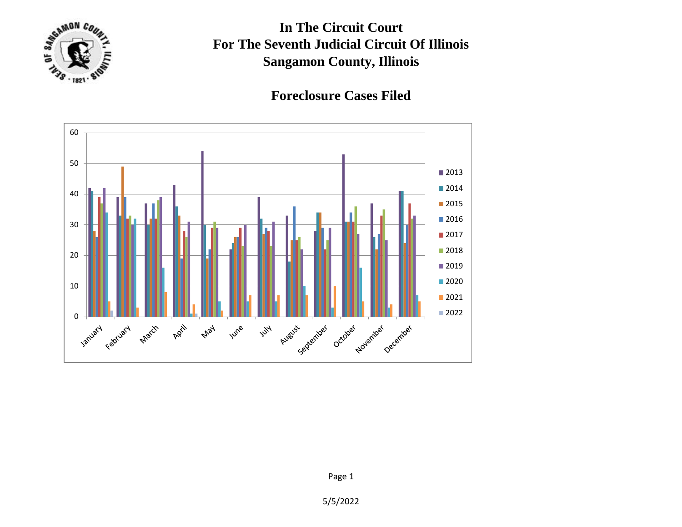

**In The Circuit Court For The Seventh Judicial Circuit Of Illinois Sangamon County, Illinois**

## **Foreclosure Cases Filed**



5/5/2022